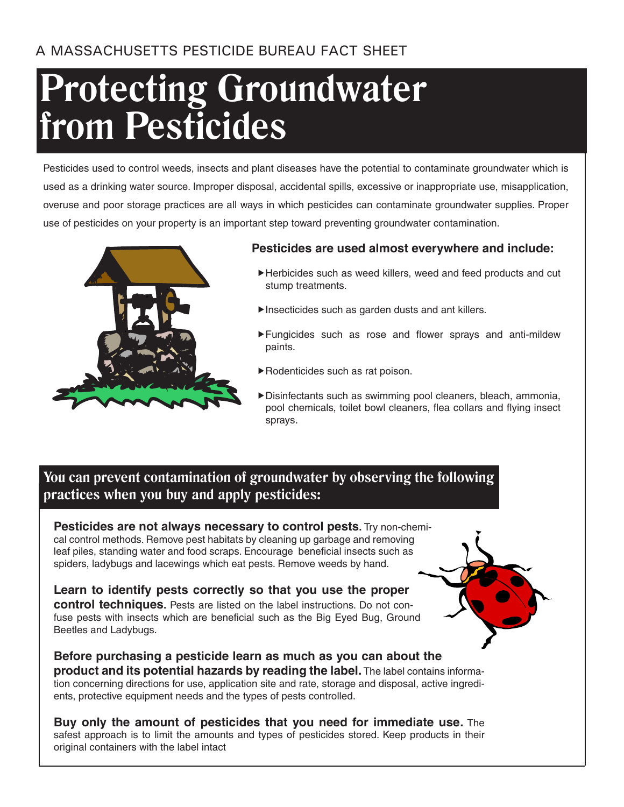# **Protecting Groundwater from Pesticides**

Pesticides used to control weeds, insects and plant diseases have the potential to contaminate groundwater which is used as a drinking water source. Improper disposal, accidental spills, excessive or inappropriate use, misapplication, overuse and poor storage practices are all ways in which pesticides can contaminate groundwater supplies. Proper use of pesticides on your property is an important step toward preventing groundwater contamination.



### **Pesticides are used almost everywhere and include:**

- Herbicides such as weed killers, weed and feed products and cut stump treatments.
- Insecticides such as garden dusts and ant killers.
- Fungicides such as rose and flower sprays and anti-mildew paints.
- Rodenticides such as rat poison.
- Disinfectants such as swimming pool cleaners, bleach, ammonia, pool chemicals, toilet bowl cleaners, flea collars and flying insect sprays.

## **You can prevent contamination of groundwater by observing the following practices when you buy and apply pesticides:**

**Pesticides are not always necessary to control pests.** Try non-chemical control methods. Remove pest habitats by cleaning up garbage and removing leaf piles, standing water and food scraps. Encourage beneficial insects such as spiders, ladybugs and lacewings which eat pests. Remove weeds by hand.

**Learn to identify pests correctly so that you use the proper control techniques.** Pests are listed on the label instructions. Do not confuse pests with insects which are beneficial such as the Big Eyed Bug, Ground Beetles and Ladybugs.

**Before purchasing a pesticide learn as much as you can about the product and its potential hazards by reading the label.** The label contains information concerning directions for use, application site and rate, storage and disposal, active ingredients, protective equipment needs and the types of pests controlled.

**Buy only the amount of pesticides that you need for immediate use.** The safest approach is to limit the amounts and types of pesticides stored. Keep products in their original containers with the label intact